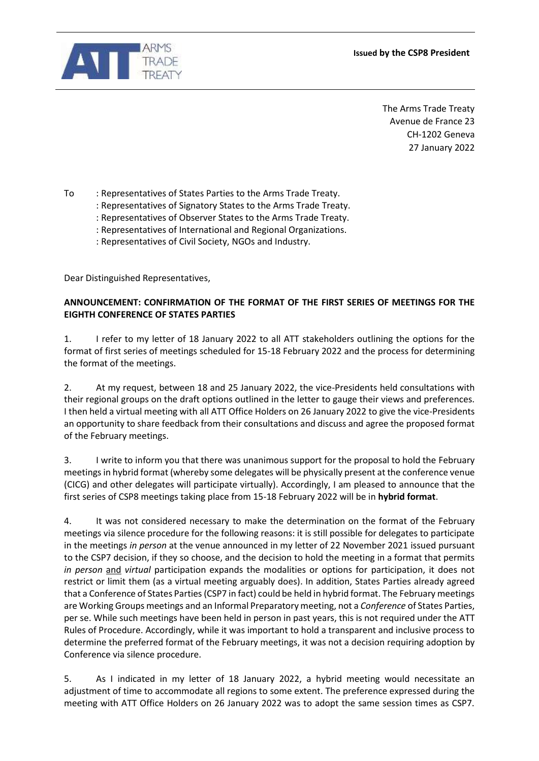



The Arms Trade Treaty Avenue de France 23 CH-1202 Geneva 27 January 2022

To : Representatives of States Parties to the Arms Trade Treaty.

- : Representatives of Signatory States to the Arms Trade Treaty.
- : Representatives of Observer States to the Arms Trade Treaty.
- : Representatives of International and Regional Organizations.
- : Representatives of Civil Society, NGOs and Industry.

Dear Distinguished Representatives,

## **ANNOUNCEMENT: CONFIRMATION OF THE FORMAT OF THE FIRST SERIES OF MEETINGS FOR THE EIGHTH CONFERENCE OF STATES PARTIES**

1. I refer to my letter of 18 January 2022 to all ATT stakeholders outlining the options for the format of first series of meetings scheduled for 15-18 February 2022 and the process for determining the format of the meetings.

2. At my request, between 18 and 25 January 2022, the vice-Presidents held consultations with their regional groups on the draft options outlined in the letter to gauge their views and preferences. I then held a virtual meeting with all ATT Office Holders on 26 January 2022 to give the vice-Presidents an opportunity to share feedback from their consultations and discuss and agree the proposed format of the February meetings.

3. I write to inform you that there was unanimous support for the proposal to hold the February meetings in hybrid format (whereby some delegates will be physically present at the conference venue (CICG) and other delegates will participate virtually). Accordingly, I am pleased to announce that the first series of CSP8 meetings taking place from 15-18 February 2022 will be in **hybrid format**.

4. It was not considered necessary to make the determination on the format of the February meetings via silence procedure for the following reasons: it is still possible for delegates to participate in the meetings *in person* at the venue announced in my letter of 22 November 2021 issued pursuant to the CSP7 decision, if they so choose, and the decision to hold the meeting in a format that permits *in person* and *virtual* participation expands the modalities or options for participation, it does not restrict or limit them (as a virtual meeting arguably does). In addition, States Parties already agreed that a Conference of States Parties (CSP7 in fact) could be held in hybrid format. The February meetings are Working Groups meetings and an Informal Preparatory meeting, not a *Conference* of States Parties, per se. While such meetings have been held in person in past years, this is not required under the ATT Rules of Procedure. Accordingly, while it was important to hold a transparent and inclusive process to determine the preferred format of the February meetings, it was not a decision requiring adoption by Conference via silence procedure.

5. As I indicated in my letter of 18 January 2022, a hybrid meeting would necessitate an adjustment of time to accommodate all regions to some extent. The preference expressed during the meeting with ATT Office Holders on 26 January 2022 was to adopt the same session times as CSP7.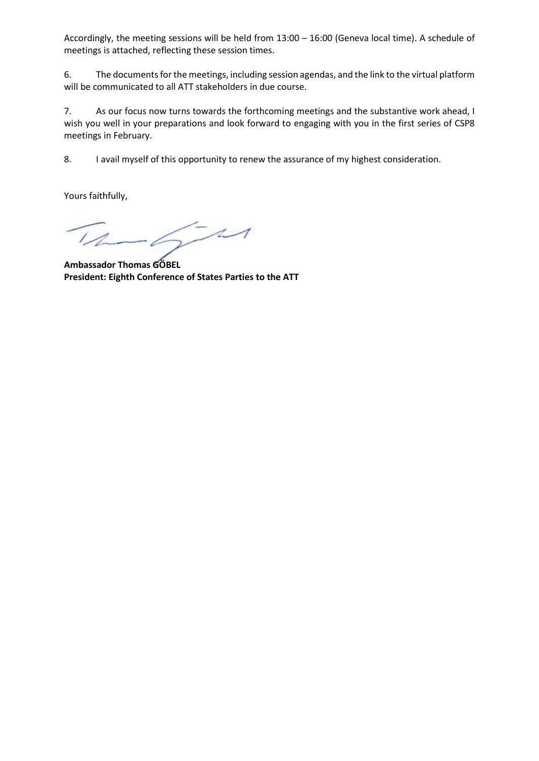Accordingly, the meeting sessions will be held from 13:00 – 16:00 (Geneva local time). A schedule of meetings is attached, reflecting these session times.

6. The documents for the meetings, including session agendas, and the link to the virtual platform will be communicated to all ATT stakeholders in due course.

7. As our focus now turns towards the forthcoming meetings and the substantive work ahead, I wish you well in your preparations and look forward to engaging with you in the first series of CSP8 meetings in February.

8. I avail myself of this opportunity to renew the assurance of my highest consideration.

Yours faithfully,

 $\sqrt{-11}$ 

**Ambassador Thomas GÖBEL President: Eighth Conference of States Parties to the ATT**